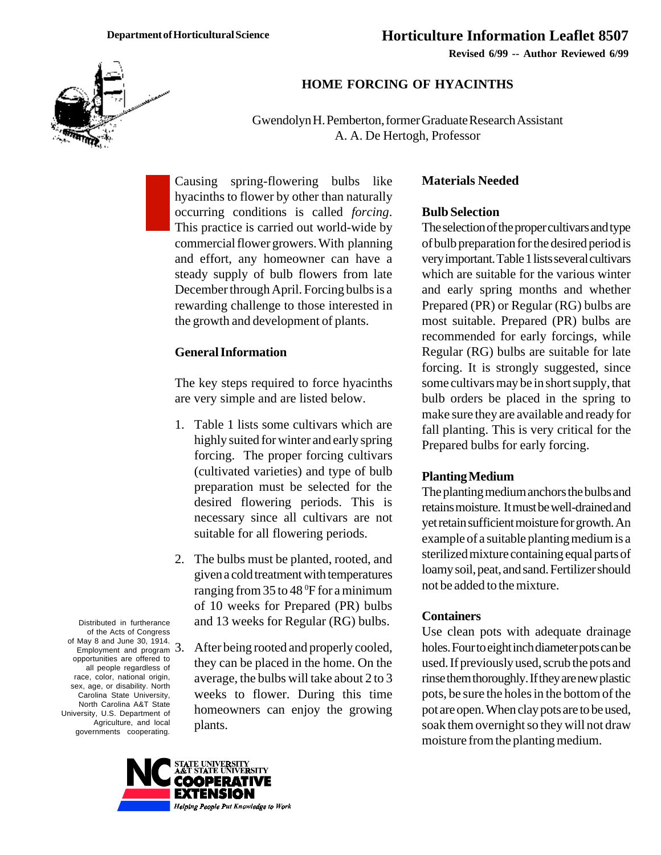**Revised 6/99 -- Author Reviewed 6/99**



## **HOME FORCING OF HYACINTHS**

Gwendolyn H. Pemberton, former Graduate Research Assistant A. A. De Hertogh, Professor

Causing spring-flowering bulbs like hyacinths to flower by other than naturally occurring conditions is called *forcing*. This practice is carried out world-wide by commercial flower growers. With planning and effort, any homeowner can have a steady supply of bulb flowers from late December through April. Forcing bulbs is a rewarding challenge to those interested in the growth and development of plants.

## **General Information**

The key steps required to force hyacinths are very simple and are listed below.

- 1. Table 1 lists some cultivars which are highly suited for winter and early spring forcing. The proper forcing cultivars (cultivated varieties) and type of bulb preparation must be selected for the desired flowering periods. This is necessary since all cultivars are not suitable for all flowering periods.
- 2. The bulbs must be planted, rooted, and given a cold treatment with temperatures ranging from 35 to 48  $\rm ^{6}F$  for a minimum of 10 weeks for Prepared (PR) bulbs and 13 weeks for Regular (RG) bulbs.
	- After being rooted and properly cooled, they can be placed in the home. On the average, the bulbs will take about 2 to 3 weeks to flower. During this time homeowners can enjoy the growing plants.

### **Materials Needed**

#### **Bulb Selection**

The selection of the proper cultivars and type of bulb preparation for the desired period is very important. Table 1 lists several cultivars which are suitable for the various winter and early spring months and whether Prepared (PR) or Regular (RG) bulbs are most suitable. Prepared (PR) bulbs are recommended for early forcings, while Regular (RG) bulbs are suitable for late forcing. It is strongly suggested, since some cultivars may be in short supply, that bulb orders be placed in the spring to make sure they are available and ready for fall planting. This is very critical for the Prepared bulbs for early forcing.

#### **Planting Medium**

The planting medium anchors the bulbs and retains moisture. It must be well-drained and yet retain sufficient moisture for growth. An example of a suitable planting medium is a sterilized mixture containing equal parts of loamy soil, peat, and sand. Fertilizer should not be added to the mixture.

#### **Containers**

Use clean pots with adequate drainage holes. Four to eight inch diameter pots can be used. If previously used, scrub the pots and rinse them thoroughly. If they are new plastic pots, be sure the holes in the bottom of the pot are open. When clay pots are to be used, soak them overnight so they will not draw moisture from the planting medium.

Distributed in furtherance of the Acts of Congress of May 8 and June 30, 1914. Employment and program 3. opportunities are offered to all people regardless of race, color, national origin, sex, age, or disability. North Carolina State University, North Carolina A&T State University, U.S. Department of Agriculture, and local governments cooperating.

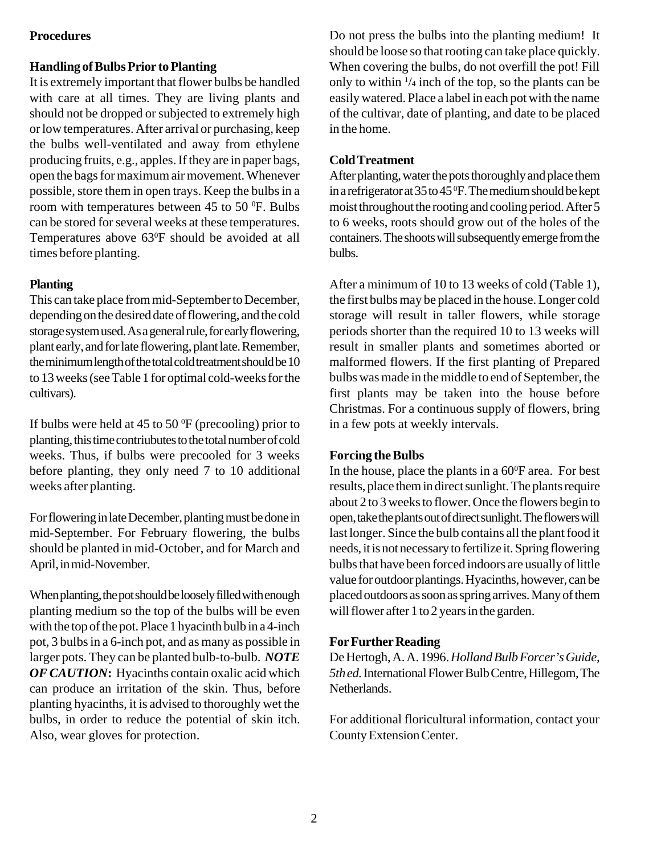# **Procedures**

# **Handling of Bulbs Prior to Planting**

It is extremely important that flower bulbs be handled with care at all times. They are living plants and should not be dropped or subjected to extremely high or low temperatures. After arrival or purchasing, keep the bulbs well-ventilated and away from ethylene producing fruits, e.g., apples. If they are in paper bags, open the bags for maximum air movement. Whenever possible, store them in open trays. Keep the bulbs in a room with temperatures between 45 to 50 $^{\circ}$ F. Bulbs can be stored for several weeks at these temperatures. Temperatures above 63<sup>°</sup>F should be avoided at all times before planting.

## **Planting**

This can take place from mid-September to December, depending on the desired date of flowering, and the cold storage system used. As a general rule, for early flowering, plant early, and for late flowering, plant late. Remember, the minimum length of the total cold treatment should be 10 to 13 weeks (see Table 1 for optimal cold-weeks for the cultivars).

If bulbs were held at 45 to 50  $\rm{^0F}$  (precooling) prior to planting, this time contriubutes to the total number of cold weeks. Thus, if bulbs were precooled for 3 weeks before planting, they only need 7 to 10 additional weeks after planting.

For flowering in late December, planting must be done in mid-September. For February flowering, the bulbs should be planted in mid-October, and for March and April, in mid-November.

When planting, the pot should be loosely filled with enough planting medium so the top of the bulbs will be even with the top of the pot. Place 1 hyacinth bulb in a 4-inch pot, 3 bulbs in a 6-inch pot, and as many as possible in larger pots. They can be planted bulb-to-bulb. *NOTE OF CAUTION***:** Hyacinths contain oxalic acid which can produce an irritation of the skin. Thus, before planting hyacinths, it is advised to thoroughly wet the bulbs, in order to reduce the potential of skin itch. Also, wear gloves for protection.

Do not press the bulbs into the planting medium! It should be loose so that rooting can take place quickly. When covering the bulbs, do not overfill the pot! Fill only to within  $\frac{1}{4}$  inch of the top, so the plants can be easily watered. Place a label in each pot with the name of the cultivar, date of planting, and date to be placed in the home.

# **Cold Treatment**

After planting, water the pots thoroughly and place them in a refrigerator at 35 to 45  $\rm ^{0}F$ . The medium should be kept moist throughout the rooting and cooling period. After 5 to 6 weeks, roots should grow out of the holes of the containers. The shoots will subsequently emerge from the bulbs.

After a minimum of 10 to 13 weeks of cold (Table 1), the first bulbs may be placed in the house. Longer cold storage will result in taller flowers, while storage periods shorter than the required 10 to 13 weeks will result in smaller plants and sometimes aborted or malformed flowers. If the first planting of Prepared bulbs was made in the middle to end of September, the first plants may be taken into the house before Christmas. For a continuous supply of flowers, bring in a few pots at weekly intervals.

### **Forcing the Bulbs**

In the house, place the plants in a  $60^{\circ}$ F area. For best results, place them in direct sunlight. The plants require about 2 to 3 weeks to flower. Once the flowers begin to open, take the plants out of direct sunlight. The flowers will last longer. Since the bulb contains all the plant food it needs, it is not necessary to fertilize it. Spring flowering bulbs that have been forced indoors are usually of little value for outdoor plantings. Hyacinths, however, can be placed outdoors as soon as spring arrives. Many of them will flower after 1 to 2 years in the garden.

### **For Further Reading**

De Hertogh, A. A. 1996. *Holland Bulb Forcer's Guide, 5th ed.* International Flower Bulb Centre, Hillegom, The Netherlands.

For additional floricultural information, contact your County Extension Center.